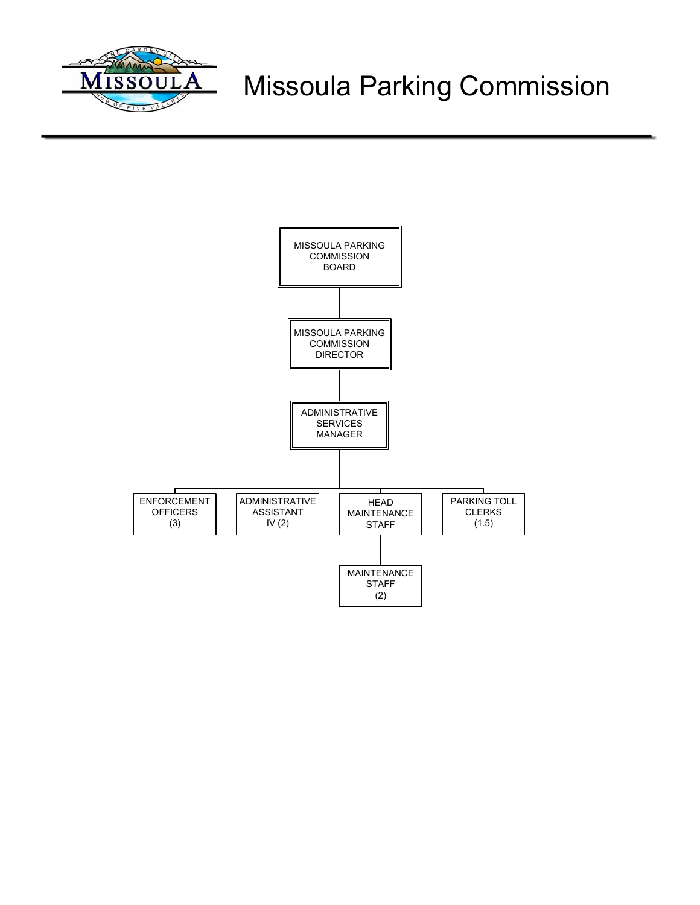

# Missoula Parking Commission

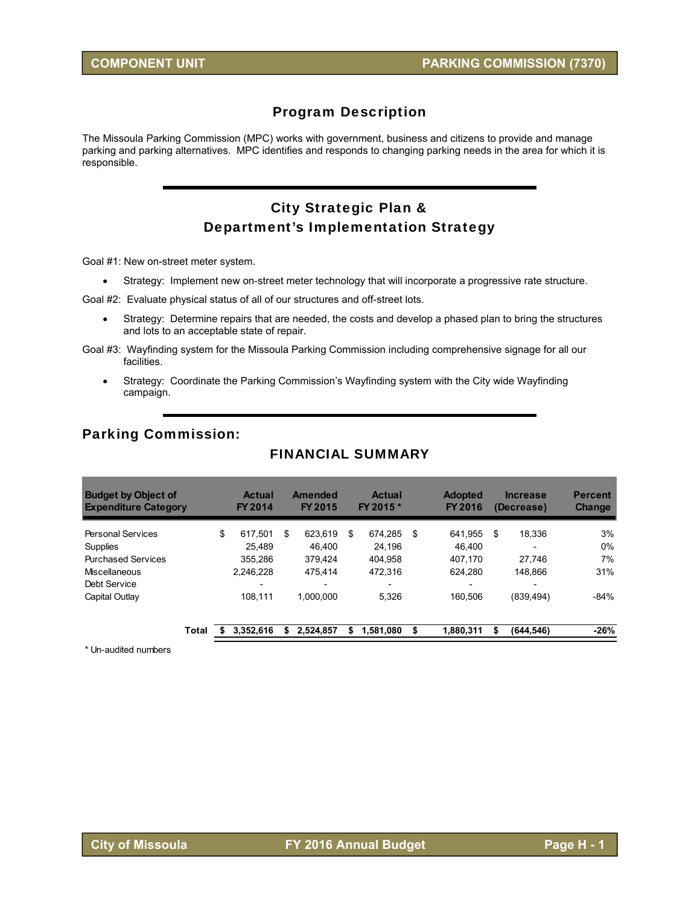## Program Description

The Missoula Parking Commission (MPC) works with government, business and citizens to provide and manage parking and parking alternatives. MPC identifies and responds to changing parking needs in the area for which it is responsible.

## City Strategic Plan & Department's Implementation Strategy

Goal #1: New on-street meter system.

Strategy: Implement new on-street meter technology that will incorporate a progressive rate structure.

Goal #2: Evaluate physical status of all of our structures and off-street lots.

- Strategy: Determine repairs that are needed, the costs and develop a phased plan to bring the structures and lots to an acceptable state of repair.
- Goal #3: Wayfinding system for the Missoula Parking Commission including comprehensive signage for all our facilities.
	- Strategy: Coordinate the Parking Commission's Wayfinding system with the City wide Wayfinding campaign.

#### Parking Commission:

## FINANCIAL SUMMARY

| <b>Budget by Object of</b><br><b>Expenditure Category</b> |       | <b>Actual</b><br>FY 2014 | Amended<br>FY 2015 |    | <b>Actual</b><br>FY 2015 * | <b>Adopted</b><br><b>FY 2016</b> | <b>Increase</b><br>(Decrease) | <b>Percent</b><br>Change |
|-----------------------------------------------------------|-------|--------------------------|--------------------|----|----------------------------|----------------------------------|-------------------------------|--------------------------|
| <b>Personal Services</b>                                  |       | \$<br>617.501            | \$<br>623.619      | \$ | 674.285                    | \$<br>641.955                    | \$<br>18,336                  | 3%                       |
| Supplies                                                  |       | 25.489                   | 46.400             |    | 24,196                     | 46.400                           |                               | 0%                       |
| <b>Purchased Services</b>                                 |       | 355.286                  | 379.424            |    | 404.958                    | 407.170                          | 27.746                        | 7%                       |
| Miscellaneous                                             |       | 2.246.228                | 475.414            |    | 472,316                    | 624.280                          | 148.866                       | 31%                      |
| Debt Service                                              |       |                          |                    |    |                            | ۰                                |                               |                          |
| Capital Outlay                                            |       | 108.111                  | 1.000.000          |    | 5,326                      | 160.506                          | (839.494)                     | $-84%$                   |
|                                                           | Total | 3.352.616                | 2,524,857          | S  | 1,581,080                  | 1,880,311                        | (644, 546)                    | $-26%$                   |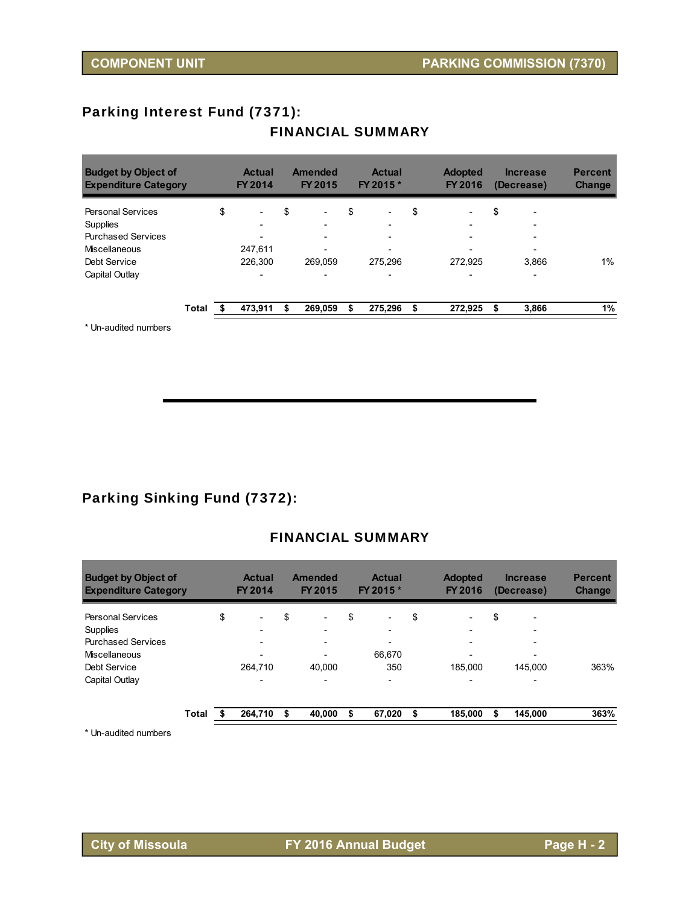## Parking Interest Fund (7371):

## **Budget by Object of Actual Amended Actual Adopted Increase Percent Expenditure Category FY 2014 FY 2015 FY 2015 \* FY 2016 (Decrease) Change** Personal Services  $\begin{array}{cccccccccccc}\n\$ & - & \$ & - & \$ & - & \$ & - & \$ & - & \$ & - & \$ & - & \end{array}$ Supplies - - - - - Purchased Services - - - - - Miscellaneous 247,611 - - - - Debt Service 226,300 269,059 275,296 272,925 3,866 1% Capital Outlay and the set of the set of the set of the set of the set of the set of the set of the set of the set of the set of the set of the set of the set of the set of the set of the set of the set of the set of the s **Total 473,911 \$ \$ 269,059 \$ 275,296 \$ 272,925 \$ 3,866 1%**

## FINANCIAL SUMMARY

\* Un-audited numbers

## Parking Sinking Fund (7372):

## FINANCIAL SUMMARY

| <b>Budget by Object of</b><br><b>Expenditure Category</b> |       |    | <b>Actual</b><br>FY 2014 | <b>Amended</b><br>FY 2015      | <b>Actual</b><br>FY 2015 *     |    | <b>Adopted</b><br><b>FY 2016</b> | <b>Increase</b><br>(Decrease)  | <b>Percent</b><br><b>Change</b> |
|-----------------------------------------------------------|-------|----|--------------------------|--------------------------------|--------------------------------|----|----------------------------------|--------------------------------|---------------------------------|
| <b>Personal Services</b>                                  |       | \$ | $\overline{\phantom{0}}$ | \$<br>$\overline{\phantom{0}}$ | \$<br>$\overline{\phantom{0}}$ | \$ | $\overline{\phantom{0}}$         | \$<br>$\overline{\phantom{0}}$ |                                 |
| <b>Supplies</b>                                           |       |    | -                        | -                              | -                              |    | $\overline{\phantom{0}}$         | $\overline{\phantom{0}}$       |                                 |
| <b>Purchased Services</b>                                 |       |    | $\overline{\phantom{0}}$ | $\overline{\phantom{0}}$       | $\overline{\phantom{0}}$       |    | $\overline{\phantom{0}}$         | $\overline{\phantom{0}}$       |                                 |
| Miscellaneous                                             |       |    | -                        |                                | 66.670                         |    |                                  | $\overline{\phantom{a}}$       |                                 |
| Debt Service                                              |       |    | 264,710                  | 40.000                         | 350                            |    | 185.000                          | 145.000                        | 363%                            |
| Capital Outlay                                            |       |    | $\overline{\phantom{0}}$ | -                              | $\overline{\phantom{0}}$       |    | $\overline{\phantom{0}}$         | $\overline{\phantom{0}}$       |                                 |
|                                                           | Total | S  | 264,710                  | \$<br>40,000                   | \$<br>67,020                   | S  | 185,000                          | 145,000                        | 363%                            |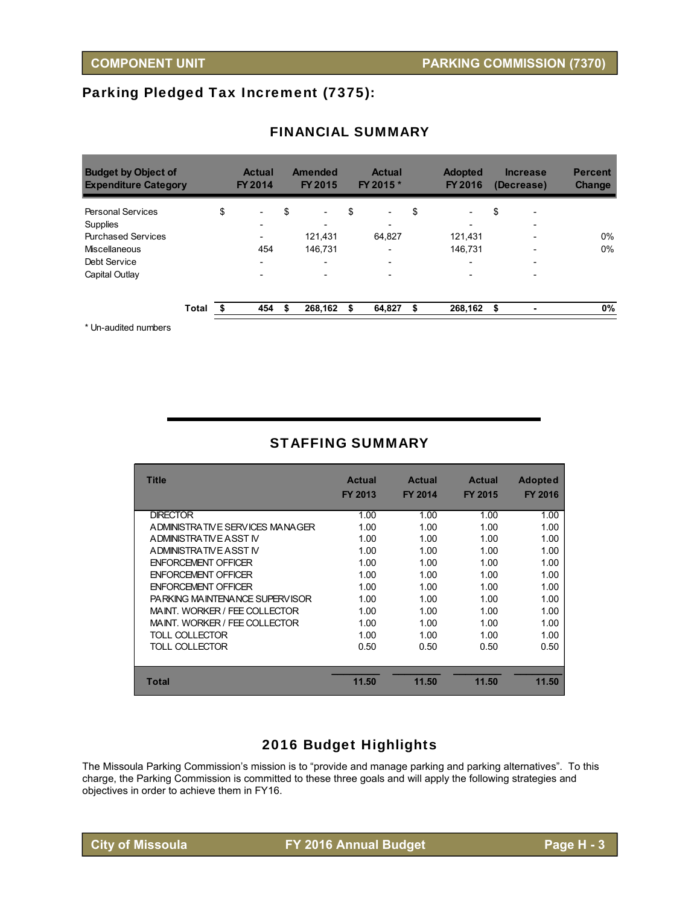## Parking Pledged Tax Increment (7375):

| FY 2014                        | FY 2015                        | <b>Actual</b><br>FY 2015 *     | <b>Adopted</b><br><b>FY 2016</b> | <b>Increase</b><br>(Decrease) | <b>Percent</b><br><b>Change</b> |
|--------------------------------|--------------------------------|--------------------------------|----------------------------------|-------------------------------|---------------------------------|
| \$<br>$\overline{\phantom{a}}$ | \$<br>$\overline{\phantom{0}}$ | \$<br>$\overline{\phantom{a}}$ | \$<br>$\overline{\phantom{0}}$   | \$                            |                                 |
| $\overline{\phantom{0}}$       |                                | $\overline{\phantom{a}}$       |                                  |                               |                                 |
| $\overline{\phantom{0}}$       | 121.431                        | 64.827                         | 121.431                          |                               | $0\%$                           |
| 454                            | 146.731                        | $\overline{\phantom{a}}$       | 146.731                          |                               | 0%                              |
|                                |                                |                                |                                  |                               |                                 |
| $\overline{\phantom{a}}$       |                                | $\overline{\phantom{a}}$       |                                  |                               |                                 |
| 454                            | \$<br>268.162                  | 64,827                         | 268,162                          | \$                            | 0%                              |
| Total                          |                                |                                |                                  |                               |                                 |

## FINANCIAL SUMMARY

Un-audited numbers

## STAFFING SUMMARY

| <b>Title</b>                    | <b>Actual</b> | <b>Actual</b>  | <b>Actual</b>  | <b>Adopted</b> |
|---------------------------------|---------------|----------------|----------------|----------------|
|                                 | FY 2013       | <b>FY 2014</b> | <b>FY 2015</b> | <b>FY 2016</b> |
| <b>DIRECTOR</b>                 | 1.00          | 1.00           | 1.00           | 1.00           |
| ADMINISTRATIVE SERVICES MANAGER | 1.00          | 1.00           | 1.00           | 1.00           |
| ADMINISTRATIVE ASST IV          | 1.00          | 1.00           | 1.00           | 1.00           |
| ADMINISTRATIVE ASST IV          | 1.00          | 1.00           | 1.00           | 1.00           |
| <b>ENFORCEMENT OFFICER</b>      | 1.00          | 1.00           | 1.00           | 1.00           |
| <b>ENFORCEMENT OFFICER</b>      | 1.00          | 1.00           | 1.00           | 1.00           |
| <b>ENFORCEMENT OFFICER</b>      | 1.00          | 1.00           | 1.00           | 1.00           |
| PARKING MAINTENANCE SUPERVISOR  | 1.00          | 1.00           | 1.00           | 1.00           |
| MAINT. WORKER / FEE COLLECTOR   | 1.00          | 1.00           | 1.00           | 1.00           |
| MAINT. WORKER / FEE COLLECTOR   | 1.00          | 1.00           | 1.00           | 1.00           |
| TOLL COLLECTOR                  | 1.00          | 1.00           | 1.00           | 1.00           |
| TOLL COLLECTOR                  | 0.50          | 0.50           | 0.50           | 0.50           |
|                                 |               |                |                |                |
| <b>Total</b>                    | 11.50         | 11.50          | 11.50          | 11.50          |

## 2016 Budget Highlights

The Missoula Parking Commission's mission is to "provide and manage parking and parking alternatives". To this charge, the Parking Commission is committed to these three goals and will apply the following strategies and objectives in order to achieve them in FY16.

**City of Missoula FY 2016 Annual Budget Page H - 3**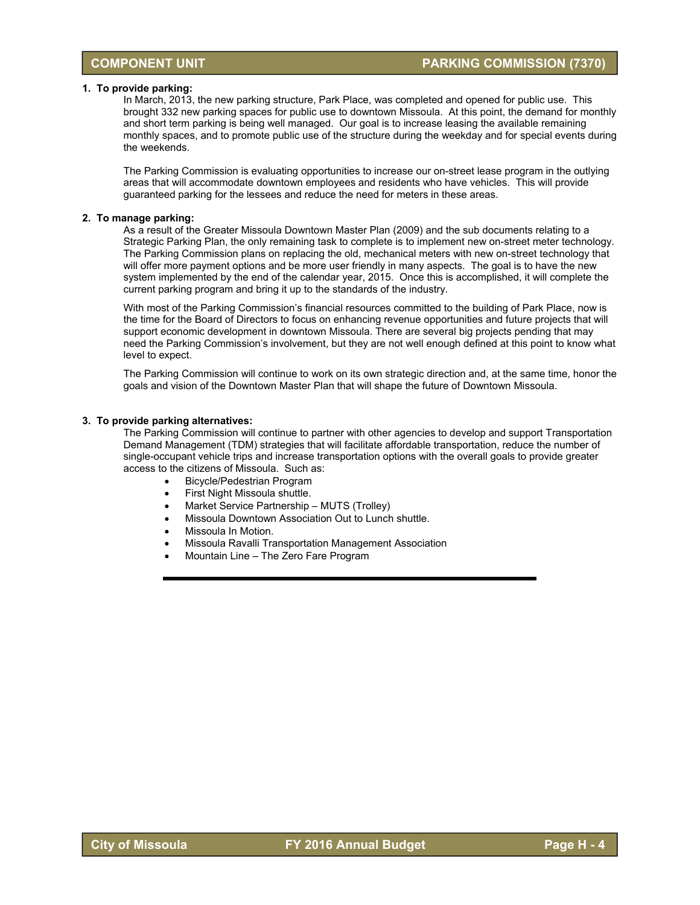#### **1. To provide parking:**

In March, 2013, the new parking structure, Park Place, was completed and opened for public use. This brought 332 new parking spaces for public use to downtown Missoula. At this point, the demand for monthly and short term parking is being well managed. Our goal is to increase leasing the available remaining monthly spaces, and to promote public use of the structure during the weekday and for special events during the weekends.

The Parking Commission is evaluating opportunities to increase our on-street lease program in the outlying areas that will accommodate downtown employees and residents who have vehicles. This will provide guaranteed parking for the lessees and reduce the need for meters in these areas.

#### **2. To manage parking:**

As a result of the Greater Missoula Downtown Master Plan (2009) and the sub documents relating to a Strategic Parking Plan, the only remaining task to complete is to implement new on-street meter technology. The Parking Commission plans on replacing the old, mechanical meters with new on-street technology that will offer more payment options and be more user friendly in many aspects. The goal is to have the new system implemented by the end of the calendar year, 2015. Once this is accomplished, it will complete the current parking program and bring it up to the standards of the industry.

With most of the Parking Commission's financial resources committed to the building of Park Place, now is the time for the Board of Directors to focus on enhancing revenue opportunities and future projects that will support economic development in downtown Missoula. There are several big projects pending that may need the Parking Commission's involvement, but they are not well enough defined at this point to know what level to expect.

The Parking Commission will continue to work on its own strategic direction and, at the same time, honor the goals and vision of the Downtown Master Plan that will shape the future of Downtown Missoula.

#### **3. To provide parking alternatives:**

The Parking Commission will continue to partner with other agencies to develop and support Transportation Demand Management (TDM) strategies that will facilitate affordable transportation, reduce the number of single-occupant vehicle trips and increase transportation options with the overall goals to provide greater access to the citizens of Missoula. Such as:

- Bicycle/Pedestrian Program
- First Night Missoula shuttle.
- Market Service Partnership MUTS (Trolley)
- Missoula Downtown Association Out to Lunch shuttle.
- Missoula In Motion.
- Missoula Ravalli Transportation Management Association
- Mountain Line The Zero Fare Program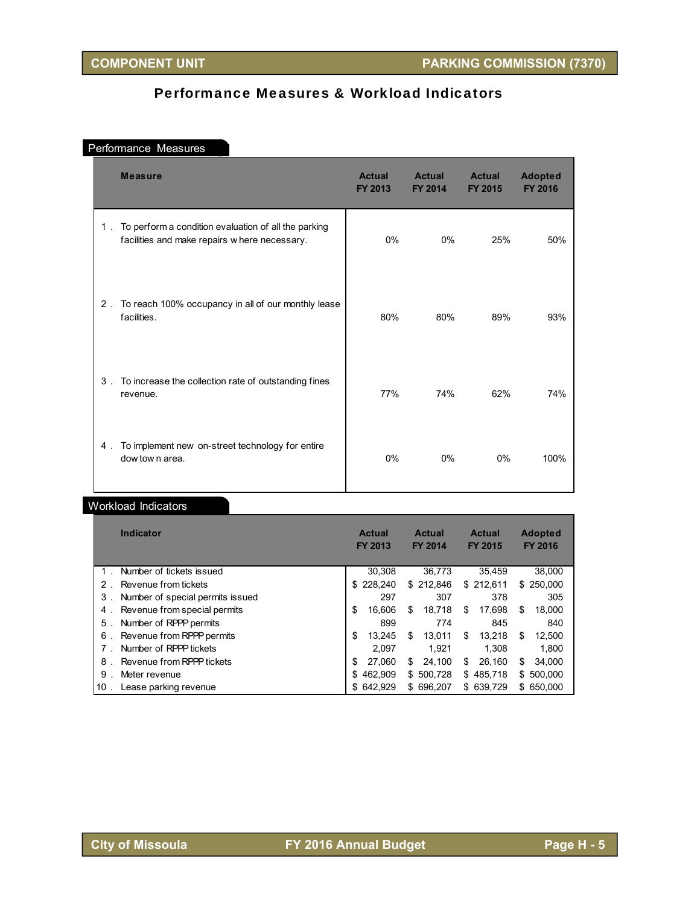## Performance Measures & Workload Indicators

## Performance Measures

|       | <b>Measure</b>                                                                                       | <b>Actual</b><br>FY 2013 | <b>Actual</b><br><b>FY 2014</b> | <b>Actual</b><br><b>FY 2015</b> | <b>Adopted</b><br><b>FY 2016</b> |
|-------|------------------------------------------------------------------------------------------------------|--------------------------|---------------------------------|---------------------------------|----------------------------------|
| $1$ . | To perform a condition evaluation of all the parking<br>facilities and make repairs where necessary. | 0%                       | $0\%$                           | 25%                             | 50%                              |
| $2$ . | To reach 100% occupancy in all of our monthly lease<br>facilities.                                   | 80%                      | 80%                             | 89%                             | 93%                              |
| $3$ . | To increase the collection rate of outstanding fines<br>revenue.                                     | 77%                      | 74%                             | 62%                             | 74%                              |
| 4.    | To implement new on-street technology for entire<br>dow tow n area.                                  | $0\%$                    | $0\%$                           | $0\%$                           | 100%                             |

## Workload Indicators

| <b>Indicator</b>                      | <b>Actual</b><br>FY 2013 | <b>Actual</b><br><b>FY 2014</b> | <b>Actual</b><br><b>FY 2015</b> | <b>Adopted</b><br><b>FY 2016</b> |
|---------------------------------------|--------------------------|---------------------------------|---------------------------------|----------------------------------|
| Number of tickets issued              | 30.308                   | 36.773                          | 35.459                          | 38,000                           |
| Revenue from tickets<br>$2$ .         | \$228,240                | \$212.846                       | \$212.611                       | \$ 250,000                       |
| Number of special permits issued<br>3 | 297                      | 307                             | 378                             | 305                              |
| Revenue from special permits<br>4.    | 16.606<br>\$             | S<br>18.718                     | \$<br>17.698                    | 18.000<br>S                      |
| Number of RPPP permits<br>5           | 899                      | 774                             | 845                             | 840                              |
| Revenue from RPPP permits<br>6        | 13.245<br>S              | S<br>13.011                     | \$<br>13.218                    | 12.500<br>S                      |
| Number of RPPP tickets                | 2.097                    | 1.921                           | 1.308                           | 1.800                            |
| Revenue from RPPP tickets<br>8        | 27.060<br>S              | 24.100<br>S                     | \$<br>26.160                    | 34.000<br>S                      |
| 9<br>Meter revenue                    | 462.909<br>S             | \$500.728                       | 485.718<br>\$.                  | 500,000<br>S.                    |
| Lease parking revenue<br>$10$ .       | \$642,929                | 696.207<br>S                    | \$639.729                       | \$ 650,000                       |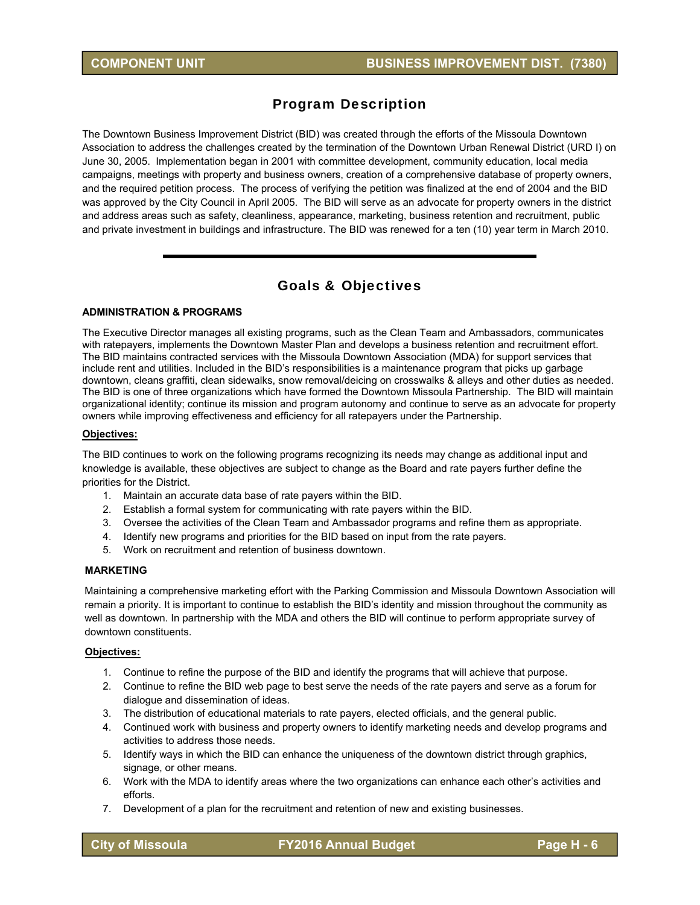## Program Description

The Downtown Business Improvement District (BID) was created through the efforts of the Missoula Downtown Association to address the challenges created by the termination of the Downtown Urban Renewal District (URD I) on June 30, 2005. Implementation began in 2001 with committee development, community education, local media campaigns, meetings with property and business owners, creation of a comprehensive database of property owners, and the required petition process. The process of verifying the petition was finalized at the end of 2004 and the BID was approved by the City Council in April 2005. The BID will serve as an advocate for property owners in the district and address areas such as safety, cleanliness, appearance, marketing, business retention and recruitment, public and private investment in buildings and infrastructure. The BID was renewed for a ten (10) year term in March 2010.

## Goals & Objectives

#### **ADMINISTRATION & PROGRAMS**

The Executive Director manages all existing programs, such as the Clean Team and Ambassadors, communicates with ratepayers, implements the Downtown Master Plan and develops a business retention and recruitment effort. The BID maintains contracted services with the Missoula Downtown Association (MDA) for support services that include rent and utilities. Included in the BID's responsibilities is a maintenance program that picks up garbage downtown, cleans graffiti, clean sidewalks, snow removal/deicing on crosswalks & alleys and other duties as needed. The BID is one of three organizations which have formed the Downtown Missoula Partnership. The BID will maintain organizational identity; continue its mission and program autonomy and continue to serve as an advocate for property owners while improving effectiveness and efficiency for all ratepayers under the Partnership.

#### **Objectives:**

The BID continues to work on the following programs recognizing its needs may change as additional input and knowledge is available, these objectives are subject to change as the Board and rate payers further define the priorities for the District.

- 1. Maintain an accurate data base of rate payers within the BID.
- 2. Establish a formal system for communicating with rate payers within the BID.
- 3. Oversee the activities of the Clean Team and Ambassador programs and refine them as appropriate.
- 4. Identify new programs and priorities for the BID based on input from the rate payers.
- 5. Work on recruitment and retention of business downtown.

#### **MARKETING**

Maintaining a comprehensive marketing effort with the Parking Commission and Missoula Downtown Association will remain a priority. It is important to continue to establish the BID's identity and mission throughout the community as well as downtown. In partnership with the MDA and others the BID will continue to perform appropriate survey of downtown constituents.

#### **Objectives:**

- 1. Continue to refine the purpose of the BID and identify the programs that will achieve that purpose.
- 2. Continue to refine the BID web page to best serve the needs of the rate payers and serve as a forum for dialogue and dissemination of ideas.
- 3. The distribution of educational materials to rate payers, elected officials, and the general public.
- 4. Continued work with business and property owners to identify marketing needs and develop programs and activities to address those needs.
- 5. Identify ways in which the BID can enhance the uniqueness of the downtown district through graphics, signage, or other means.
- 6. Work with the MDA to identify areas where the two organizations can enhance each other's activities and efforts.
- 7. Development of a plan for the recruitment and retention of new and existing businesses.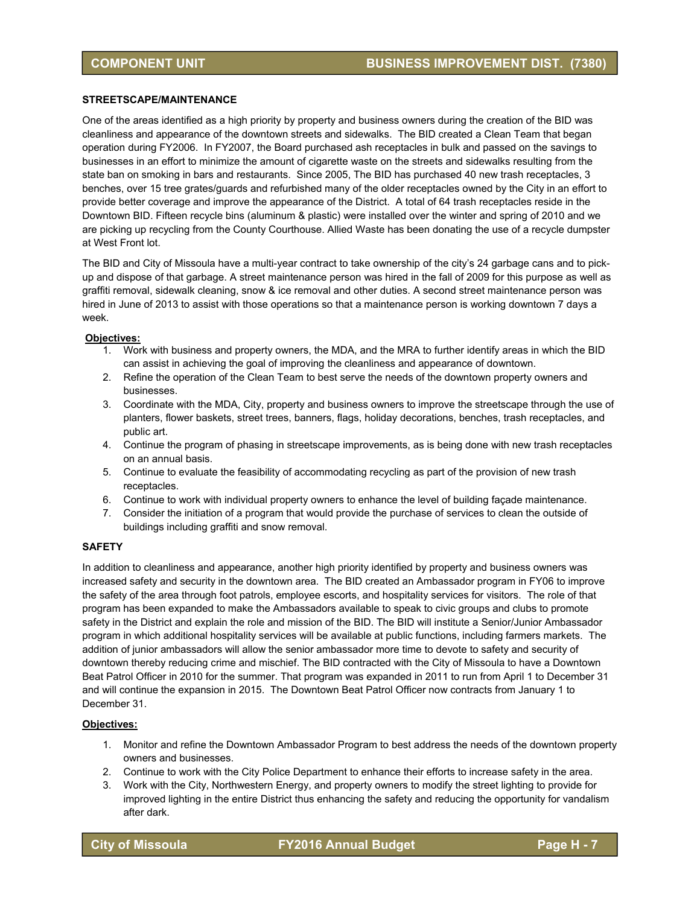#### **STREETSCAPE/MAINTENANCE**

One of the areas identified as a high priority by property and business owners during the creation of the BID was cleanliness and appearance of the downtown streets and sidewalks. The BID created a Clean Team that began operation during FY2006. In FY2007, the Board purchased ash receptacles in bulk and passed on the savings to businesses in an effort to minimize the amount of cigarette waste on the streets and sidewalks resulting from the state ban on smoking in bars and restaurants. Since 2005, The BID has purchased 40 new trash receptacles, 3 benches, over 15 tree grates/guards and refurbished many of the older receptacles owned by the City in an effort to provide better coverage and improve the appearance of the District. A total of 64 trash receptacles reside in the Downtown BID. Fifteen recycle bins (aluminum & plastic) were installed over the winter and spring of 2010 and we are picking up recycling from the County Courthouse. Allied Waste has been donating the use of a recycle dumpster at West Front lot.

The BID and City of Missoula have a multi-year contract to take ownership of the city's 24 garbage cans and to pickup and dispose of that garbage. A street maintenance person was hired in the fall of 2009 for this purpose as well as graffiti removal, sidewalk cleaning, snow & ice removal and other duties. A second street maintenance person was hired in June of 2013 to assist with those operations so that a maintenance person is working downtown 7 days a week.

#### **Objectives:**

- 1. Work with business and property owners, the MDA, and the MRA to further identify areas in which the BID can assist in achieving the goal of improving the cleanliness and appearance of downtown.
- 2. Refine the operation of the Clean Team to best serve the needs of the downtown property owners and businesses.
- 3. Coordinate with the MDA, City, property and business owners to improve the streetscape through the use of planters, flower baskets, street trees, banners, flags, holiday decorations, benches, trash receptacles, and public art.
- 4. Continue the program of phasing in streetscape improvements, as is being done with new trash receptacles on an annual basis.
- 5. Continue to evaluate the feasibility of accommodating recycling as part of the provision of new trash receptacles.
- 6. Continue to work with individual property owners to enhance the level of building façade maintenance.
- 7. Consider the initiation of a program that would provide the purchase of services to clean the outside of buildings including graffiti and snow removal.

#### **SAFETY**

In addition to cleanliness and appearance, another high priority identified by property and business owners was increased safety and security in the downtown area. The BID created an Ambassador program in FY06 to improve the safety of the area through foot patrols, employee escorts, and hospitality services for visitors. The role of that program has been expanded to make the Ambassadors available to speak to civic groups and clubs to promote safety in the District and explain the role and mission of the BID. The BID will institute a Senior/Junior Ambassador program in which additional hospitality services will be available at public functions, including farmers markets. The addition of junior ambassadors will allow the senior ambassador more time to devote to safety and security of downtown thereby reducing crime and mischief. The BID contracted with the City of Missoula to have a Downtown Beat Patrol Officer in 2010 for the summer. That program was expanded in 2011 to run from April 1 to December 31 and will continue the expansion in 2015. The Downtown Beat Patrol Officer now contracts from January 1 to December 31.

#### **Objectives:**

- 1. Monitor and refine the Downtown Ambassador Program to best address the needs of the downtown property owners and businesses.
- 2. Continue to work with the City Police Department to enhance their efforts to increase safety in the area.
- 3. Work with the City, Northwestern Energy, and property owners to modify the street lighting to provide for improved lighting in the entire District thus enhancing the safety and reducing the opportunity for vandalism after dark.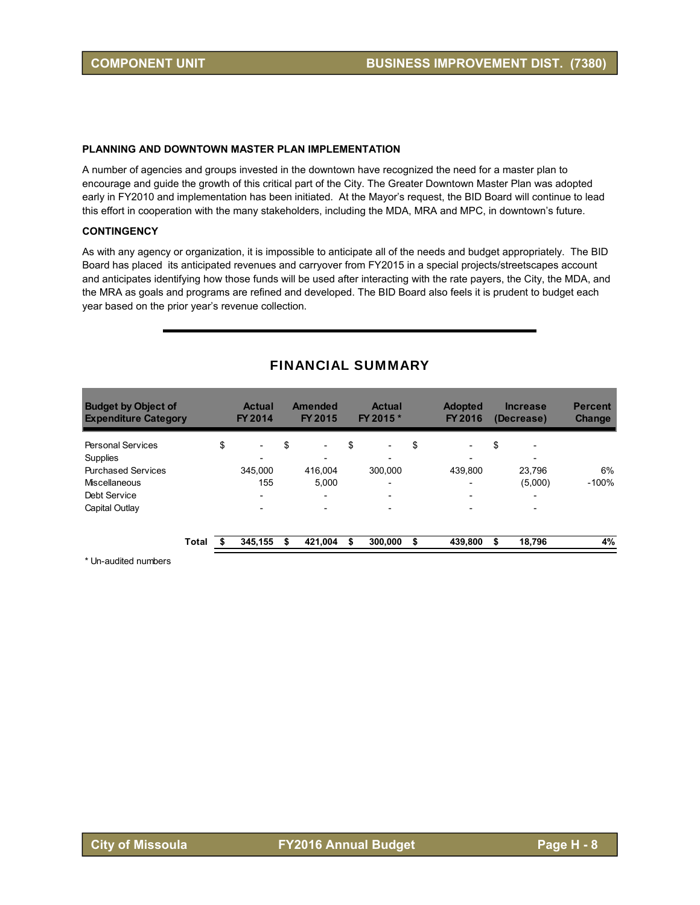#### **PLANNING AND DOWNTOWN MASTER PLAN IMPLEMENTATION**

A number of agencies and groups invested in the downtown have recognized the need for a master plan to encourage and guide the growth of this critical part of the City. The Greater Downtown Master Plan was adopted early in FY2010 and implementation has been initiated. At the Mayor's request, the BID Board will continue to lead this effort in cooperation with the many stakeholders, including the MDA, MRA and MPC, in downtown's future.

#### **CONTINGENCY**

As with any agency or organization, it is impossible to anticipate all of the needs and budget appropriately. The BID Board has placed its anticipated revenues and carryover from FY2015 in a special projects/streetscapes account and anticipates identifying how those funds will be used after interacting with the rate payers, the City, the MDA, and the MRA as goals and programs are refined and developed. The BID Board also feels it is prudent to budget each year based on the prior year's revenue collection.

| <b>Budget by Object of</b><br><b>Expenditure Category</b> |              | <b>Actual</b><br>FY 2014       | Amended<br>FY 2015             | <b>Actual</b><br>FY 2015 *     | <b>Adopted</b><br>FY 2016      | <b>Increase</b><br>(Decrease) | <b>Percent</b><br><b>Change</b> |
|-----------------------------------------------------------|--------------|--------------------------------|--------------------------------|--------------------------------|--------------------------------|-------------------------------|---------------------------------|
| <b>Personal Services</b><br>Supplies                      |              | \$<br>$\overline{\phantom{a}}$ | \$<br>$\overline{\phantom{0}}$ | \$<br>$\overline{\phantom{0}}$ | \$<br>$\overline{\phantom{a}}$ | \$                            |                                 |
| <b>Purchased Services</b>                                 |              | 345.000                        | 416.004                        | 300,000                        | 439.800                        | 23.796                        | 6%                              |
| Miscellaneous                                             |              | 155                            | 5.000                          |                                | $\overline{\phantom{0}}$       | (5,000)                       | $-100%$                         |
| Debt Service                                              |              | $\overline{\phantom{0}}$       | $\overline{\phantom{0}}$       | $\overline{\phantom{0}}$       | $\overline{\phantom{a}}$       | $\overline{\phantom{0}}$      |                                 |
| Capital Outlay                                            |              |                                |                                |                                |                                |                               |                                 |
|                                                           | <b>Total</b> | 345,155                        | 421,004                        | 300,000                        | \$<br>439,800                  | \$<br>18,796                  | 4%                              |

#### FINANCIAL SUMMARY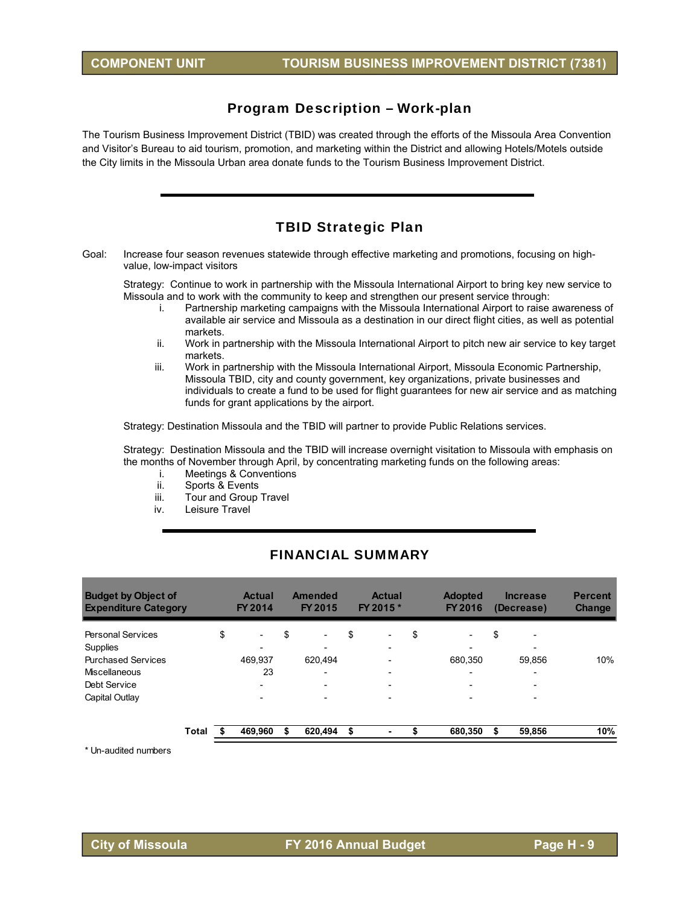### Program Description – Work-plan

The Tourism Business Improvement District (TBID) was created through the efforts of the Missoula Area Convention and Visitor's Bureau to aid tourism, promotion, and marketing within the District and allowing Hotels/Motels outside the City limits in the Missoula Urban area donate funds to the Tourism Business Improvement District.

## TBID Strategic Plan

Goal: Increase four season revenues statewide through effective marketing and promotions, focusing on highvalue, low-impact visitors

Strategy: Continue to work in partnership with the Missoula International Airport to bring key new service to Missoula and to work with the community to keep and strengthen our present service through:

- i. Partnership marketing campaigns with the Missoula International Airport to raise awareness of available air service and Missoula as a destination in our direct flight cities, as well as potential markets.
- ii. Work in partnership with the Missoula International Airport to pitch new air service to key target markets.
- iii. Work in partnership with the Missoula International Airport, Missoula Economic Partnership, Missoula TBID, city and county government, key organizations, private businesses and individuals to create a fund to be used for flight guarantees for new air service and as matching funds for grant applications by the airport.

Strategy: Destination Missoula and the TBID will partner to provide Public Relations services.

Strategy: Destination Missoula and the TBID will increase overnight visitation to Missoula with emphasis on the months of November through April, by concentrating marketing funds on the following areas:

- i. Meetings & Conventions
- ii. Sports & Events
- iii. Tour and Group Travel
- iv. Leisure Travel

| <b>Budget by Object of</b><br><b>Expenditure Category</b> |       | <b>Actual</b><br>FY 2014       |    | Amended<br>FY 2015       |    | <b>Actual</b><br>FY 2015 * | <b>Adopted</b><br>FY 2016 | <b>Increase</b><br>(Decrease)  | <b>Percent</b><br><b>Change</b> |
|-----------------------------------------------------------|-------|--------------------------------|----|--------------------------|----|----------------------------|---------------------------|--------------------------------|---------------------------------|
| <b>Personal Services</b>                                  |       | \$<br>$\overline{\phantom{a}}$ | \$ | $\overline{\phantom{0}}$ | \$ | $\overline{\phantom{0}}$   | \$<br>-                   | \$<br>$\overline{\phantom{0}}$ |                                 |
| Supplies                                                  |       |                                |    |                          |    |                            | $\overline{\phantom{a}}$  |                                |                                 |
| <b>Purchased Services</b>                                 |       | 469.937                        |    | 620.494                  |    |                            | 680.350                   | 59,856                         | 10%                             |
| Miscellaneous                                             |       | 23                             |    | $\overline{\phantom{0}}$ |    |                            | $\overline{\phantom{a}}$  |                                |                                 |
| Debt Service                                              |       |                                |    | $\overline{\phantom{0}}$ |    |                            | $\overline{\phantom{0}}$  |                                |                                 |
| Capital Outlay                                            |       |                                |    |                          |    |                            |                           |                                |                                 |
|                                                           | Total | 469.960                        | S  | 620.494                  | S  |                            | 680,350                   | 59,856                         | 10%                             |

#### FINANCIAL SUMMARY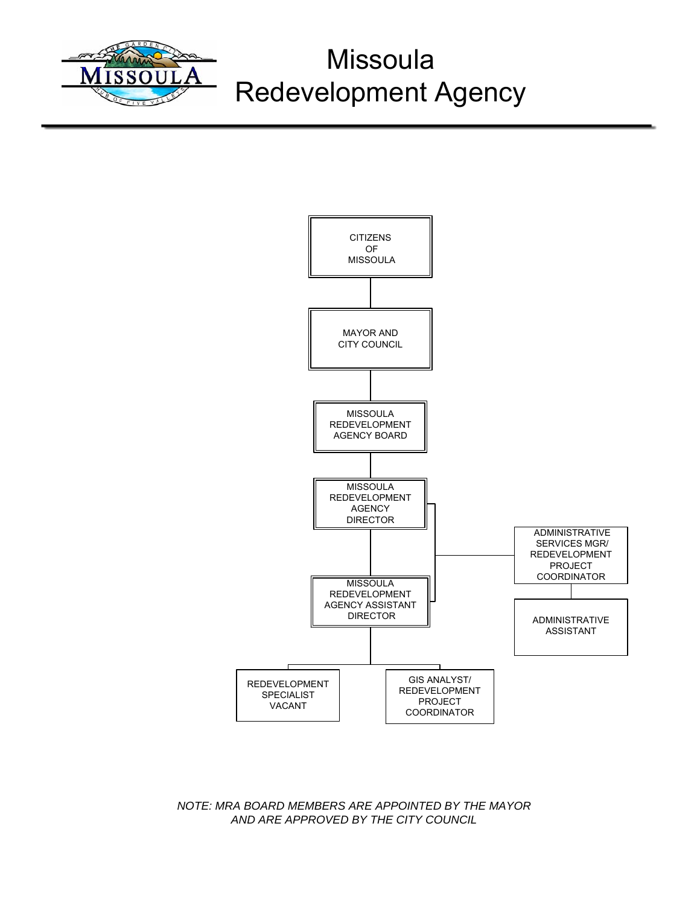

# **Missoula** Redevelopment Agency



*NOTE: MRA BOARD MEMBERS ARE APPOINTED BY THE MAYOR AND ARE APPROVED BY THE CITY COUNCIL*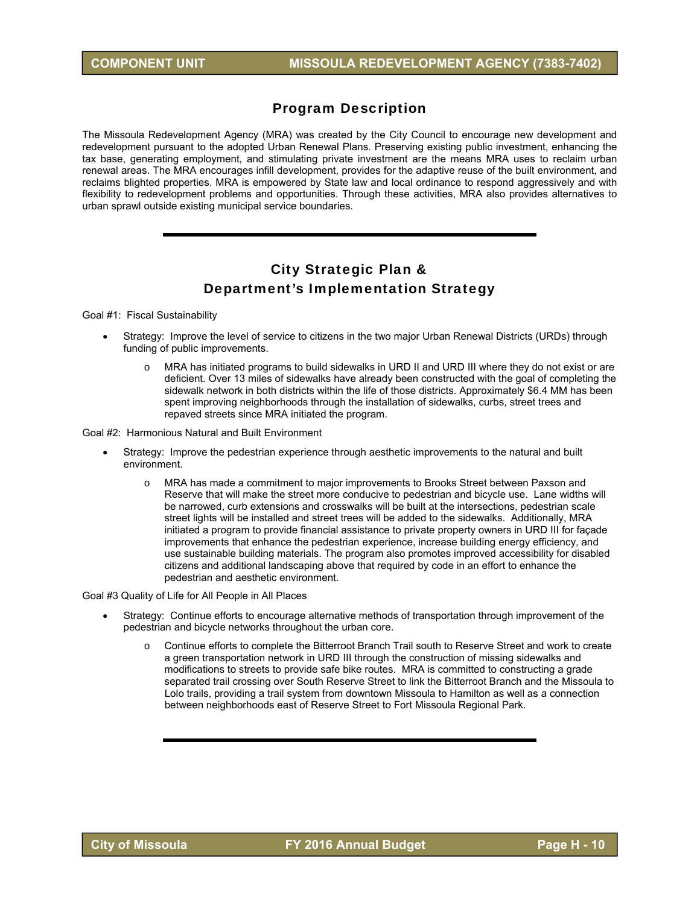## Program Description

The Missoula Redevelopment Agency (MRA) was created by the City Council to encourage new development and redevelopment pursuant to the adopted Urban Renewal Plans. Preserving existing public investment, enhancing the tax base, generating employment, and stimulating private investment are the means MRA uses to reclaim urban renewal areas. The MRA encourages infill development, provides for the adaptive reuse of the built environment, and reclaims blighted properties. MRA is empowered by State law and local ordinance to respond aggressively and with flexibility to redevelopment problems and opportunities. Through these activities, MRA also provides alternatives to urban sprawl outside existing municipal service boundaries.

## City Strategic Plan & Department's Implementation Strategy

Goal #1: Fiscal Sustainability

- Strategy: Improve the level of service to citizens in the two major Urban Renewal Districts (URDs) through funding of public improvements.
	- o MRA has initiated programs to build sidewalks in URD II and URD III where they do not exist or are deficient. Over 13 miles of sidewalks have already been constructed with the goal of completing the sidewalk network in both districts within the life of those districts. Approximately \$6.4 MM has been spent improving neighborhoods through the installation of sidewalks, curbs, street trees and repaved streets since MRA initiated the program.

Goal #2: Harmonious Natural and Built Environment

- Strategy: Improve the pedestrian experience through aesthetic improvements to the natural and built environment.
	- o MRA has made a commitment to major improvements to Brooks Street between Paxson and Reserve that will make the street more conducive to pedestrian and bicycle use. Lane widths will be narrowed, curb extensions and crosswalks will be built at the intersections, pedestrian scale street lights will be installed and street trees will be added to the sidewalks. Additionally, MRA initiated a program to provide financial assistance to private property owners in URD III for façade improvements that enhance the pedestrian experience, increase building energy efficiency, and use sustainable building materials. The program also promotes improved accessibility for disabled citizens and additional landscaping above that required by code in an effort to enhance the pedestrian and aesthetic environment.

Goal #3 Quality of Life for All People in All Places

- Strategy: Continue efforts to encourage alternative methods of transportation through improvement of the pedestrian and bicycle networks throughout the urban core.
	- o Continue efforts to complete the Bitterroot Branch Trail south to Reserve Street and work to create a green transportation network in URD III through the construction of missing sidewalks and modifications to streets to provide safe bike routes. MRA is committed to constructing a grade separated trail crossing over South Reserve Street to link the Bitterroot Branch and the Missoula to Lolo trails, providing a trail system from downtown Missoula to Hamilton as well as a connection between neighborhoods east of Reserve Street to Fort Missoula Regional Park.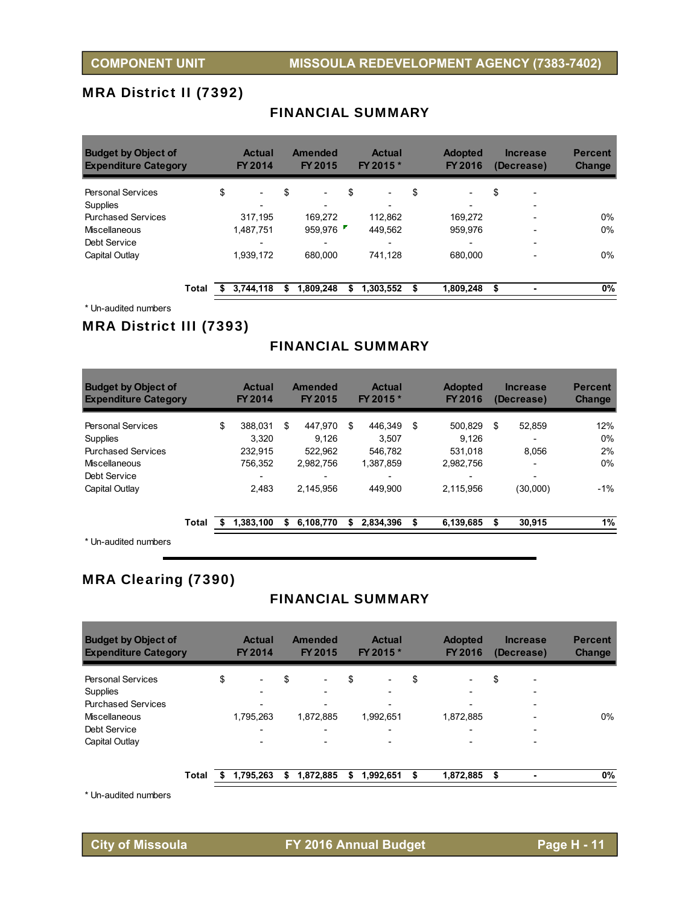## MRA District II (7392)

#### FINANCIAL SUMMARY

| <b>Budget by Object of</b><br><b>Expenditure Category</b> |       | <b>Actual</b><br><b>FY 2014</b> |    | <b>Amended</b><br>FY 2015 | <b>Actual</b><br>FY 2015 *     | <b>Adopted</b><br>FY 2016      | <b>Increase</b><br>(Decrease)  | <b>Percent</b><br><b>Change</b> |
|-----------------------------------------------------------|-------|---------------------------------|----|---------------------------|--------------------------------|--------------------------------|--------------------------------|---------------------------------|
| <b>Personal Services</b>                                  |       | \$<br>$\overline{\phantom{a}}$  | \$ | $\overline{\phantom{0}}$  | \$<br>$\overline{\phantom{0}}$ | \$<br>$\overline{\phantom{a}}$ | \$<br>$\overline{\phantom{0}}$ |                                 |
| Supplies                                                  |       |                                 |    |                           |                                | $\overline{\phantom{a}}$       |                                |                                 |
| <b>Purchased Services</b>                                 |       | 317,195                         |    | 169.272                   | 112.862                        | 169.272                        |                                | 0%                              |
| Miscellaneous                                             |       | 1,487,751                       |    | 959.976                   | 449,562                        | 959,976                        |                                | 0%                              |
| Debt Service                                              |       |                                 |    |                           |                                | $\overline{\phantom{0}}$       |                                |                                 |
| Capital Outlay                                            |       | 1.939.172                       |    | 680,000                   | 741.128                        | 680,000                        |                                | 0%                              |
|                                                           | Total | 3.744.118                       | S  | 1,809,248                 | 1,303,552                      | \$<br>1,809,248                | \$                             | 0%                              |

\* Un-audited numbers

## MRA District III (7393)

## FINANCIAL SUMMARY

| <b>Budget by Object of</b><br><b>Expenditure Category</b> |       |    | <b>Actual</b><br>FY 2014 |    | <b>Amended</b><br>FY 2015 | <b>Actual</b><br>FY 2015 * | <b>Adopted</b><br>FY 2016 | <b>Increase</b><br>(Decrease) | <b>Percent</b><br><b>Change</b> |
|-----------------------------------------------------------|-------|----|--------------------------|----|---------------------------|----------------------------|---------------------------|-------------------------------|---------------------------------|
| <b>Personal Services</b>                                  |       | \$ | 388.031                  | S  | 447.970                   | \$<br>446.349              | \$<br>500.829             | \$<br>52.859                  | 12%                             |
| Supplies                                                  |       |    | 3.320                    |    | 9.126                     | 3.507                      | 9.126                     |                               | $0\%$                           |
| <b>Purchased Services</b>                                 |       |    | 232.915                  |    | 522.962                   | 546.782                    | 531.018                   | 8.056                         | 2%                              |
| Miscellaneous                                             |       |    | 756.352                  |    | 2.982.756                 | 1.387.859                  | 2.982.756                 | $\overline{\phantom{0}}$      | 0%                              |
| Debt Service                                              |       |    | -                        |    |                           |                            |                           | -                             |                                 |
| Capital Outlay                                            |       |    | 2.483                    |    | 2.145.956                 | 449.900                    | 2.115.956                 | (30,000)                      | $-1\%$                          |
|                                                           | Total | S  | 1.383.100                | \$ | 6,108,770                 | \$<br>2.834.396            | \$<br>6,139,685           | \$<br>30,915                  | 1%                              |
| $*$ I ln qudited numbers                                  |       |    |                          |    |                           |                            |                           |                               |                                 |

Un-audited numbers

## MRA Clearing (7390)

## FINANCIAL SUMMARY

| <b>Budget by Object of</b><br><b>Expenditure Category</b> |       | <b>Actual</b><br><b>FY 2014</b> | Amended<br><b>FY 2015</b>      | <b>Actual</b><br>FY 2015 * | <b>Adopted</b><br>FY 2016      | <b>Increase</b><br>(Decrease)  | <b>Percent</b><br><b>Change</b> |
|-----------------------------------------------------------|-------|---------------------------------|--------------------------------|----------------------------|--------------------------------|--------------------------------|---------------------------------|
| <b>Personal Services</b>                                  |       | \$<br>$\overline{\phantom{0}}$  | \$<br>$\overline{\phantom{0}}$ | \$                         | \$<br>$\overline{\phantom{0}}$ | \$<br>$\overline{\phantom{0}}$ |                                 |
| Supplies                                                  |       |                                 |                                |                            | $\overline{\phantom{0}}$       | $\overline{\phantom{0}}$       |                                 |
| <b>Purchased Services</b>                                 |       |                                 |                                |                            |                                | $\overline{\phantom{a}}$       |                                 |
| Miscellaneous                                             |       | 1,795,263                       | 1,872,885                      | 1,992,651                  | 1,872,885                      |                                | 0%                              |
| Debt Service                                              |       | $\overline{\phantom{0}}$        | -                              |                            | $\overline{\phantom{0}}$       | $\overline{\phantom{0}}$       |                                 |
| Capital Outlay                                            |       | $\overline{\phantom{0}}$        |                                |                            | $\overline{\phantom{0}}$       | $\overline{\phantom{0}}$       |                                 |
|                                                           | Total | 1,795,263                       | \$<br>1,872,885                | \$<br>1,992,651            | 1,872,885                      | \$<br>۰                        | 0%                              |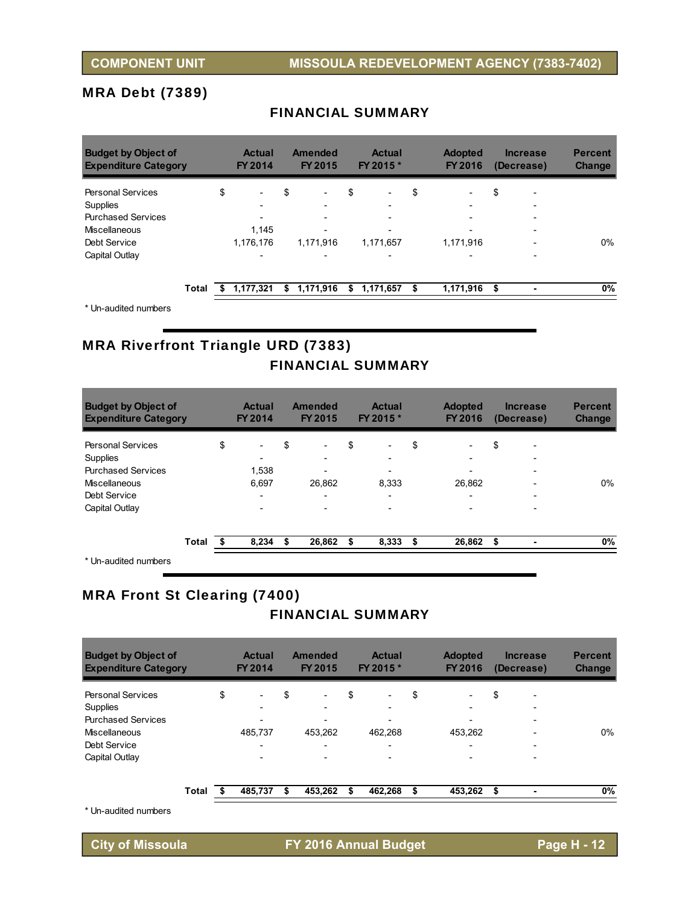## MRA Debt (7389)

#### FINANCIAL SUMMARY

| <b>Budget by Object of</b><br><b>Expenditure Category</b> |       | <b>Actual</b><br><b>FY 2014</b> |    | Amended<br><b>FY 2015</b> | <b>Actual</b><br>FY 2015 *     | <b>Adopted</b><br>FY 2016      | <b>Increase</b><br>(Decrease)  | <b>Percent</b><br><b>Change</b> |
|-----------------------------------------------------------|-------|---------------------------------|----|---------------------------|--------------------------------|--------------------------------|--------------------------------|---------------------------------|
| <b>Personal Services</b>                                  |       | \$<br>$\overline{\phantom{a}}$  | \$ | $\overline{\phantom{0}}$  | \$<br>$\overline{\phantom{a}}$ | \$<br>$\overline{\phantom{a}}$ | \$<br>$\overline{\phantom{0}}$ |                                 |
| Supplies                                                  |       | $\overline{\phantom{0}}$        |    |                           | -                              | $\overline{\phantom{a}}$       |                                |                                 |
| <b>Purchased Services</b>                                 |       |                                 |    |                           |                                | $\overline{\phantom{a}}$       | $\overline{\phantom{0}}$       |                                 |
| Miscellaneous                                             |       | 1,145                           |    | $\overline{\phantom{0}}$  |                                |                                | $\overline{\phantom{0}}$       |                                 |
| Debt Service                                              |       | 1,176,176                       |    | 1,171,916                 | 1,171,657                      | 1,171,916                      |                                | 0%                              |
| Capital Outlay                                            |       | $\overline{\phantom{0}}$        |    | $\overline{\phantom{0}}$  |                                | $\overline{\phantom{0}}$       |                                |                                 |
|                                                           | Total | 1,177,321                       | S  | 1,171,916                 | \$<br>1,171,657                | \$<br>1,171,916                | \$                             | 0%                              |

\* Un-audited numbers

## MRA Riverfront Triangle URD (7383) FINANCIAL SUMMARY

| <b>Budget by Object of</b><br><b>Expenditure Category</b> |       | <b>Actual</b><br><b>FY 2014</b> | <b>Amended</b><br>FY 2015 |    | <b>Actual</b><br>FY 2015 * |     | <b>Adopted</b><br><b>FY 2016</b> | <b>Increase</b><br>(Decrease) | <b>Percent</b><br><b>Change</b> |
|-----------------------------------------------------------|-------|---------------------------------|---------------------------|----|----------------------------|-----|----------------------------------|-------------------------------|---------------------------------|
| <b>Personal Services</b>                                  |       | \$<br>$\overline{\phantom{0}}$  | \$<br>-                   | \$ | $\overline{\phantom{0}}$   | \$  | $\overline{\phantom{0}}$         | \$                            |                                 |
| Supplies                                                  |       | -                               | -                         |    | -                          |     | $\overline{\phantom{0}}$         | $\overline{\phantom{0}}$      |                                 |
| <b>Purchased Services</b>                                 |       | 1,538                           | -                         |    | $\overline{\phantom{0}}$   |     |                                  |                               |                                 |
| Miscellaneous                                             |       | 6,697                           | 26,862                    |    | 8,333                      |     | 26,862                           |                               | 0%                              |
| Debt Service                                              |       | $\overline{\phantom{0}}$        | -                         |    | -                          |     | $\overline{\phantom{0}}$         |                               |                                 |
| Capital Outlay                                            |       | $\overline{\phantom{0}}$        |                           |    |                            |     |                                  |                               |                                 |
|                                                           | Total | 8,234                           | \$<br>26,862              | S  | 8,333                      | \$. | 26.862                           | \$                            | 0%                              |
| * Un-audited numbers                                      |       |                                 |                           |    |                            |     |                                  |                               |                                 |

## MRA Front St Clearing (7400)

## FINANCIAL SUMMARY

| <b>Budget by Object of</b><br><b>Expenditure Category</b> |       | <b>Actual</b><br>FY 2014       |    | <b>Amended</b><br>FY 2015 | <b>Actual</b><br>FY 2015 * |    | <b>Adopted</b><br>FY 2016 |     | <b>Increase</b><br>(Decrease) | <b>Percent</b><br><b>Change</b> |
|-----------------------------------------------------------|-------|--------------------------------|----|---------------------------|----------------------------|----|---------------------------|-----|-------------------------------|---------------------------------|
| <b>Personal Services</b>                                  |       | \$<br>$\overline{\phantom{a}}$ | \$ |                           | \$                         | \$ |                           | \$  | ۰                             |                                 |
| Supplies                                                  |       | $\overline{\phantom{0}}$       |    |                           | $\overline{\phantom{0}}$   |    | $\overline{\phantom{a}}$  |     | $\overline{\phantom{0}}$      |                                 |
| <b>Purchased Services</b>                                 |       | $\overline{\phantom{0}}$       |    |                           | $\overline{\phantom{0}}$   |    |                           |     | $\overline{\phantom{0}}$      |                                 |
| Miscellaneous                                             |       | 485.737                        |    | 453.262                   | 462.268                    |    | 453,262                   |     |                               | 0%                              |
| Debt Service                                              |       | $\overline{\phantom{0}}$       |    |                           | $\overline{\phantom{0}}$   |    |                           |     |                               |                                 |
| Capital Outlay                                            |       | $\overline{\phantom{0}}$       |    |                           |                            |    |                           |     |                               |                                 |
|                                                           | Total | 485,737                        | S  | 453,262                   | \$<br>462,268              | S  | 453,262                   | -\$ |                               | 0%                              |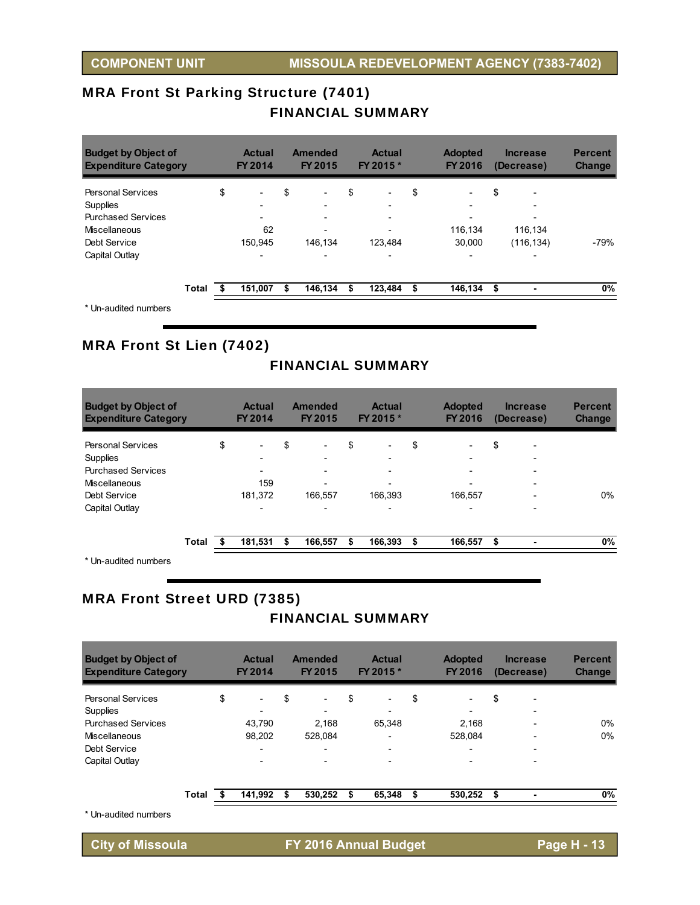## MRA Front St Parking Structure (7401) FINANCIAL SUMMARY

| <b>Budget by Object of</b><br><b>Expenditure Category</b> |       |    | <b>Actual</b><br><b>FY 2014</b> | Amended<br>FY 2015 |         |    | <b>Actual</b><br>FY 2015 * | <b>Adopted</b><br>FY 2016      |     | <b>Increase</b><br>(Decrease) | <b>Percent</b><br><b>Change</b> |
|-----------------------------------------------------------|-------|----|---------------------------------|--------------------|---------|----|----------------------------|--------------------------------|-----|-------------------------------|---------------------------------|
| <b>Personal Services</b>                                  |       | \$ | $\overline{\phantom{0}}$        | \$                 |         | \$ |                            | \$<br>$\overline{\phantom{a}}$ | \$  | ۰                             |                                 |
| <b>Supplies</b>                                           |       |    |                                 |                    |         |    |                            | $\overline{\phantom{a}}$       |     |                               |                                 |
| <b>Purchased Services</b>                                 |       |    | $\overline{\phantom{0}}$        |                    |         |    | $\overline{\phantom{0}}$   |                                |     | $\overline{\phantom{0}}$      |                                 |
| <b>Miscellaneous</b>                                      |       |    | 62                              |                    |         |    |                            | 116,134                        |     | 116,134                       |                                 |
| Debt Service                                              |       |    | 150,945                         |                    | 146.134 |    | 123,484                    | 30.000                         |     | (116, 134)                    | -79%                            |
| Capital Outlay                                            |       |    |                                 |                    |         |    |                            |                                |     |                               |                                 |
|                                                           | Total | S  | 151,007                         | S                  | 146,134 | S  | 123,484                    | \$<br>146,134                  | -\$ |                               | 0%                              |
| * Lin-audited numbers                                     |       |    |                                 |                    |         |    |                            |                                |     |                               |                                 |

Un-audited numbers

## MRA Front St Lien (7402)

## FINANCIAL SUMMARY

| <b>Budget by Object of</b><br><b>Expenditure Category</b> |       |    | <b>Actual</b><br><b>FY 2014</b> | <b>Amended</b><br>FY 2015 | <b>Actual</b><br>FY 2015 *     | <b>Adopted</b><br><b>FY 2016</b> | <b>Increase</b><br>(Decrease) | <b>Percent</b><br><b>Change</b> |
|-----------------------------------------------------------|-------|----|---------------------------------|---------------------------|--------------------------------|----------------------------------|-------------------------------|---------------------------------|
| <b>Personal Services</b>                                  |       | \$ | $\overline{\phantom{0}}$        | \$                        | \$<br>$\overline{\phantom{a}}$ | \$                               | \$                            |                                 |
| <b>Supplies</b>                                           |       |    | -                               |                           |                                | $\overline{\phantom{0}}$         |                               |                                 |
| <b>Purchased Services</b>                                 |       |    | $\overline{\phantom{0}}$        |                           |                                | $\overline{\phantom{0}}$         | $\overline{\phantom{0}}$      |                                 |
| <b>Miscellaneous</b>                                      |       |    | 159                             |                           |                                | ۰                                | $\overline{a}$                |                                 |
| Debt Service                                              |       |    | 181,372                         | 166.557                   | 166.393                        | 166.557                          |                               | 0%                              |
| Capital Outlay                                            |       |    | $\overline{\phantom{0}}$        |                           |                                |                                  |                               |                                 |
|                                                           | Total | S  | 181,531                         | \$<br>166,557             | \$<br>166,393                  | \$<br>166,557                    | \$<br>۰                       | 0%                              |
| * I ln_audited numbers                                    |       |    |                                 |                           |                                |                                  |                               |                                 |

Un-audited numbers

## MRA Front Street URD (7385)

## FINANCIAL SUMMARY

| <b>Budget by Object of</b><br><b>Expenditure Category</b> |       |    | <b>Actual</b><br>FY 2014 | <b>Amended</b><br><b>FY 2015</b> |                          | <b>Actual</b><br>FY 2015 *     |    | <b>Adopted</b><br>FY 2016 | <b>Increase</b><br>(Decrease) |                          | <b>Percent</b><br><b>Change</b> |
|-----------------------------------------------------------|-------|----|--------------------------|----------------------------------|--------------------------|--------------------------------|----|---------------------------|-------------------------------|--------------------------|---------------------------------|
| Personal Services                                         |       | \$ | $\overline{\phantom{a}}$ | \$                               | $\overline{\phantom{0}}$ | \$<br>$\overline{\phantom{a}}$ | \$ | $\overline{\phantom{a}}$  | \$                            | $\overline{\phantom{a}}$ |                                 |
| Supplies                                                  |       |    |                          |                                  |                          |                                |    | $\overline{\phantom{a}}$  |                               |                          |                                 |
| <b>Purchased Services</b>                                 |       |    | 43.790                   |                                  | 2,168                    | 65.348                         |    | 2.168                     |                               |                          | 0%                              |
| Miscellaneous                                             |       |    | 98.202                   |                                  | 528.084                  |                                |    | 528.084                   |                               |                          | $0\%$                           |
| Debt Service                                              |       |    | $\overline{\phantom{0}}$ |                                  | $\overline{\phantom{0}}$ |                                |    | $\overline{\phantom{0}}$  |                               |                          |                                 |
| Capital Outlay                                            |       |    |                          |                                  |                          |                                |    |                           |                               |                          |                                 |
|                                                           | Total | S  | 141,992                  | S                                | 530.252                  | \$<br>65,348                   | S  | 530,252                   | \$                            |                          | $0\%$                           |
| * Un-audited numbers                                      |       |    |                          |                                  |                          |                                |    |                           |                               |                          |                                 |